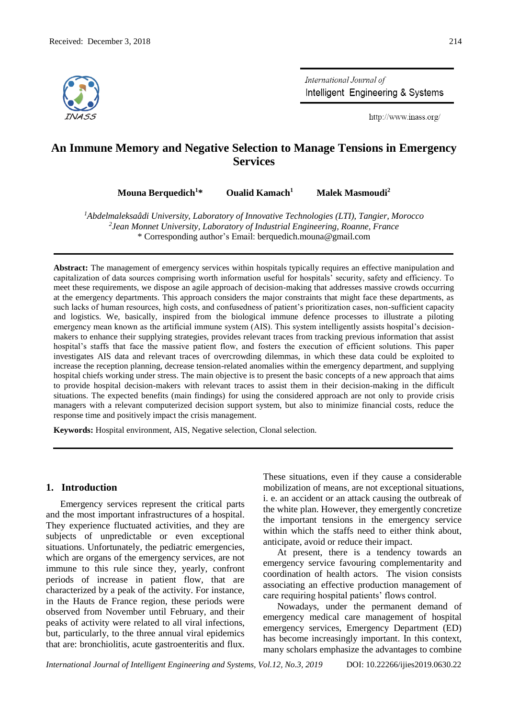

International Journal of Intelligent Engineering & Systems

http://www.inass.org/

# **An Immune Memory and Negative Selection to Manage Tensions in Emergency Services**

**Mouna Berquedich<sup>1</sup>\* Oualid Kamach<sup>1</sup> Malek Masmoudi<sup>2</sup>**

*<sup>1</sup>Abdelmaleksaâdi University, Laboratory of Innovative Technologies (LTI), Tangier, Morocco 2 Jean Monnet University, Laboratory of Industrial Engineering, Roanne, France* \* Corresponding author's Email: berquedich.mouna@gmail.com

**Abstract:** The management of emergency services within hospitals typically requires an effective manipulation and capitalization of data sources comprising worth information useful for hospitals' security, safety and efficiency. To meet these requirements, we dispose an agile approach of decision-making that addresses massive crowds occurring at the emergency departments. This approach considers the major constraints that might face these departments, as such lacks of human resources, high costs, and confusedness of patient's prioritization cases, non-sufficient capacity and logistics. We, basically, inspired from the biological immune defence processes to illustrate a piloting emergency mean known as the artificial immune system (AIS). This system intelligently assists hospital's decisionmakers to enhance their supplying strategies, provides relevant traces from tracking previous information that assist hospital's staffs that face the massive patient flow, and fosters the execution of efficient solutions. This paper investigates AIS data and relevant traces of overcrowding dilemmas, in which these data could be exploited to increase the reception planning, decrease tension-related anomalies within the emergency department, and supplying hospital chiefs working under stress. The main objective is to present the basic concepts of a new approach that aims to provide hospital decision-makers with relevant traces to assist them in their decision-making in the difficult situations. The expected benefits (main findings) for using the considered approach are not only to provide crisis managers with a relevant computerized decision support system, but also to minimize financial costs, reduce the response time and positively impact the crisis management.

**Keywords:** Hospital environment, AIS, Negative selection, Clonal selection.

#### **1. Introduction**

Emergency services represent the critical parts and the most important infrastructures of a hospital. They experience fluctuated activities, and they are subjects of unpredictable or even exceptional situations. Unfortunately, the pediatric emergencies, which are organs of the emergency services, are not immune to this rule since they, yearly, confront periods of increase in patient flow, that are characterized by a peak of the activity. For instance, in the Hauts de France region, these periods were observed from November until February, and their peaks of activity were related to all viral infections, but, particularly, to the three annual viral epidemics that are: bronchiolitis, acute gastroenteritis and flux.

These situations, even if they cause a considerable mobilization of means, are not exceptional situations, i. e. an accident or an attack causing the outbreak of the white plan. However, they emergently concretize the important tensions in the emergency service within which the staffs need to either think about, anticipate, avoid or reduce their impact.

At present, there is a tendency towards an emergency service favouring complementarity and coordination of health actors. The vision consists associating an effective production management of care requiring hospital patients' flows control.

Nowadays, under the permanent demand of emergency medical care management of hospital emergency services, Emergency Department (ED) has become increasingly important. In this context, many scholars emphasize the advantages to combine

*International Journal of Intelligent Engineering and Systems, Vol.12, No.3, 2019* DOI: 10.22266/ijies2019.0630.22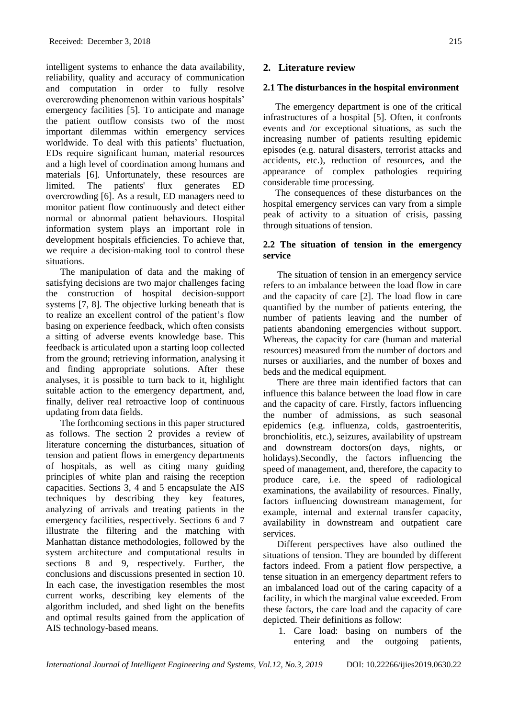intelligent systems to enhance the data availability, reliability, quality and accuracy of communication and computation in order to fully resolve overcrowding phenomenon within various hospitals' emergency facilities [5]. To anticipate and manage the patient outflow consists two of the most important dilemmas within emergency services worldwide. To deal with this patients' fluctuation, EDs require significant human, material resources and a high level of coordination among humans and materials [6]. Unfortunately, these resources are limited. The patients' flux generates ED overcrowding [6]. As a result, ED managers need to monitor patient flow continuously and detect either normal or abnormal patient behaviours. Hospital information system plays an important role in development hospitals efficiencies. To achieve that, we require a decision-making tool to control these situations.

The manipulation of data and the making of satisfying decisions are two major challenges facing the construction of hospital decision-support systems [7, 8]. The objective lurking beneath that is to realize an excellent control of the patient's flow basing on experience feedback, which often consists a sitting of adverse events knowledge base. This feedback is articulated upon a starting loop collected from the ground; retrieving information, analysing it and finding appropriate solutions. After these analyses, it is possible to turn back to it, highlight suitable action to the emergency department, and, finally, deliver real retroactive loop of continuous updating from data fields.

The forthcoming sections in this paper structured as follows. The section 2 provides a review of literature concerning the disturbances, situation of tension and patient flows in emergency departments of hospitals, as well as citing many guiding principles of white plan and raising the reception capacities. Sections 3, 4 and 5 encapsulate the AIS techniques by describing they key features, analyzing of arrivals and treating patients in the emergency facilities, respectively. Sections 6 and 7 illustrate the filtering and the matching with Manhattan distance methodologies, followed by the system architecture and computational results in sections 8 and 9, respectively. Further, the conclusions and discussions presented in section 10. In each case, the investigation resembles the most current works, describing key elements of the algorithm included, and shed light on the benefits and optimal results gained from the application of AIS technology-based means.

#### **2. Literature review**

#### **2.1 The disturbances in the hospital environment**

The emergency department is one of the critical infrastructures of a hospital [5]. Often, it confronts events and /or exceptional situations, as such the increasing number of patients resulting epidemic episodes (e.g. natural disasters, terrorist attacks and accidents, etc.), reduction of resources, and the appearance of complex pathologies requiring considerable time processing.

The consequences of these disturbances on the hospital emergency services can vary from a simple peak of activity to a situation of crisis, passing through situations of tension.

#### **2.2 The situation of tension in the emergency service**

The situation of tension in an emergency service refers to an imbalance between the load flow in care and the capacity of care [2]. The load flow in care quantified by the number of patients entering, the number of patients leaving and the number of patients abandoning emergencies without support. Whereas, the capacity for care (human and material resources) measured from the number of doctors and nurses or auxiliaries, and the number of boxes and beds and the medical equipment.

There are three main identified factors that can influence this balance between the load flow in care and the capacity of care. Firstly, factors influencing the number of admissions, as such seasonal epidemics (e.g. influenza, colds, gastroenteritis, bronchiolitis, etc.), seizures, availability of upstream and downstream doctors(on days, nights, or holidays).Secondly, the factors influencing the speed of management, and, therefore, the capacity to produce care, i.e. the speed of radiological examinations, the availability of resources. Finally, factors influencing downstream management, for example, internal and external transfer capacity, availability in downstream and outpatient care services.

Different perspectives have also outlined the situations of tension. They are bounded by different factors indeed. From a patient flow perspective, a tense situation in an emergency department refers to an imbalanced load out of the caring capacity of a facility, in which the marginal value exceeded. From these factors, the care load and the capacity of care depicted. Their definitions as follow:

1. Care load: basing on numbers of the entering and the outgoing patients,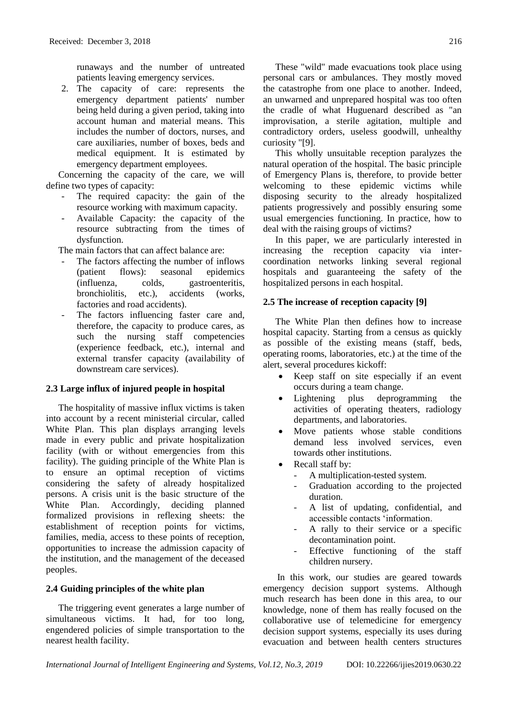runaways and the number of untreated patients leaving emergency services.

2. The capacity of care: represents the emergency department patients' number being held during a given period, taking into account human and material means. This includes the number of doctors, nurses, and care auxiliaries, number of boxes, beds and medical equipment. It is estimated by emergency department employees.

Concerning the capacity of the care, we will define two types of capacity:

- The required capacity: the gain of the resource working with maximum capacity.
- Available Capacity: the capacity of the resource subtracting from the times of dysfunction.

The main factors that can affect balance are:

- The factors affecting the number of inflows (patient flows): seasonal epidemics (influenza, colds, gastroenteritis, bronchiolitis, etc.), accidents (works, factories and road accidents).
- The factors influencing faster care and, therefore, the capacity to produce cares, as such the nursing staff competencies (experience feedback, etc.), internal and external transfer capacity (availability of downstream care services).

# **2.3 Large influx of injured people in hospital**

The hospitality of massive influx victims is taken into account by a recent ministerial circular, called White Plan. This plan displays arranging levels made in every public and private hospitalization facility (with or without emergencies from this facility). The guiding principle of the White Plan is to ensure an optimal reception of victims considering the safety of already hospitalized persons. A crisis unit is the basic structure of the White Plan. Accordingly, deciding planned formalized provisions in reflexing sheets: the establishment of reception points for victims, families, media, access to these points of reception, opportunities to increase the admission capacity of the institution, and the management of the deceased peoples.

# **2.4 Guiding principles of the white plan**

The triggering event generates a large number of simultaneous victims. It had, for too long, engendered policies of simple transportation to the nearest health facility.

These "wild" made evacuations took place using personal cars or ambulances. They mostly moved the catastrophe from one place to another. Indeed, an unwarned and unprepared hospital was too often the cradle of what Huguenard described as "an improvisation, a sterile agitation, multiple and contradictory orders, useless goodwill, unhealthy curiosity "[9].

This wholly unsuitable reception paralyzes the natural operation of the hospital. The basic principle of Emergency Plans is, therefore, to provide better welcoming to these epidemic victims while disposing security to the already hospitalized patients progressively and possibly ensuring some usual emergencies functioning. In practice, how to deal with the raising groups of victims?

In this paper, we are particularly interested in increasing the reception capacity via intercoordination networks linking several regional hospitals and guaranteeing the safety of the hospitalized persons in each hospital.

# **2.5 The increase of reception capacity [9]**

The White Plan then defines how to increase hospital capacity. Starting from a census as quickly as possible of the existing means (staff, beds, operating rooms, laboratories, etc.) at the time of the alert, several procedures kickoff:

- Keep staff on site especially if an event occurs during a team change.
- Lightening plus deprogramming the activities of operating theaters, radiology departments, and laboratories.
- Move patients whose stable conditions demand less involved services, even towards other institutions.
- Recall staff by:
	- A multiplication-tested system.
	- Graduation according to the projected duration.
	- A list of updating, confidential, and accessible contacts 'information.
	- A rally to their service or a specific decontamination point.
	- Effective functioning of the staff children nursery.

In this work, our studies are geared towards emergency decision support systems. Although much research has been done in this area, to our knowledge, none of them has really focused on the collaborative use of telemedicine for emergency decision support systems, especially its uses during evacuation and between health centers structures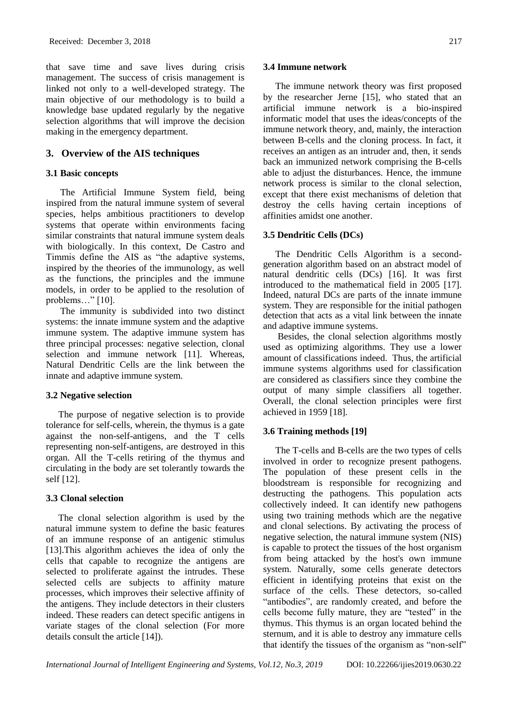that save time and save lives during crisis management. The success of crisis management is linked not only to a well-developed strategy. The main objective of our methodology is to build a knowledge base updated regularly by the negative selection algorithms that will improve the decision making in the emergency department.

# **3. Overview of the AIS techniques**

# **3.1 Basic concepts**

The Artificial Immune System field, being inspired from the natural immune system of several species, helps ambitious practitioners to develop systems that operate within environments facing similar constraints that natural immune system deals with biologically. In this context, De Castro and Timmis define the AIS as "the adaptive systems, inspired by the theories of the immunology, as well as the functions, the principles and the immune models, in order to be applied to the resolution of problems..." [10].

The immunity is subdivided into two distinct systems: the innate immune system and the adaptive immune system. The adaptive immune system has three principal processes: negative selection, clonal selection and immune network [11]. Whereas, Natural Dendritic Cells are the link between the innate and adaptive immune system.

# **3.2 Negative selection**

The purpose of negative selection is to provide tolerance for self-cells, wherein, the thymus is a gate against the non-self-antigens, and the T cells representing non-self-antigens, are destroyed in this organ. All the T-cells retiring of the thymus and circulating in the body are set tolerantly towards the self [12].

# **3.3 Clonal selection**

The clonal selection algorithm is used by the natural immune system to define the basic features of an immune response of an antigenic stimulus [13].This algorithm achieves the idea of only the cells that capable to recognize the antigens are selected to proliferate against the intrudes. These selected cells are subjects to affinity mature processes, which improves their selective affinity of the antigens. They include detectors in their clusters indeed. These readers can detect specific antigens in variate stages of the clonal selection (For more details consult the article [14]).

#### **3.4 Immune network**

The immune network theory was first proposed by the researcher Jerne [15], who stated that an artificial immune network is a bio-inspired informatic model that uses the ideas/concepts of the immune network theory, and, mainly, the interaction between B-cells and the cloning process. In fact, it receives an antigen as an intruder and, then, it sends back an immunized network comprising the B-cells able to adjust the disturbances. Hence, the immune network process is similar to the clonal selection, except that there exist mechanisms of deletion that destroy the cells having certain inceptions of affinities amidst one another.

# **3.5 Dendritic Cells (DCs)**

The Dendritic Cells Algorithm is a secondgeneration algorithm based on an abstract model of natural dendritic cells (DCs) [16]. It was first introduced to the mathematical field in 2005 [17]. Indeed, natural DCs are parts of the innate immune system. They are responsible for the initial pathogen detection that acts as a vital link between the innate and adaptive immune systems.

Besides, the clonal selection algorithms mostly used as optimizing algorithms. They use a lower amount of classifications indeed. Thus, the artificial immune systems algorithms used for classification are considered as classifiers since they combine the output of many simple classifiers all together. Overall, the clonal selection principles were first achieved in 1959 [18].

# **3.6 Training methods [19]**

The T-cells and B-cells are the two types of cells involved in order to recognize present pathogens. The population of these present cells in the bloodstream is responsible for recognizing and destructing the pathogens. This population acts collectively indeed. It can identify new pathogens using two training methods which are the negative and clonal selections. By activating the process of negative selection, the natural immune system (NIS) is capable to protect the tissues of the host organism from being attacked by the host's own immune system. Naturally, some cells generate detectors efficient in identifying proteins that exist on the surface of the cells. These detectors, so-called "antibodies", are randomly created, and before the cells become fully mature, they are "tested" in the thymus. This thymus is an organ located behind the sternum, and it is able to destroy any immature cells that identify the tissues of the organism as "non-self"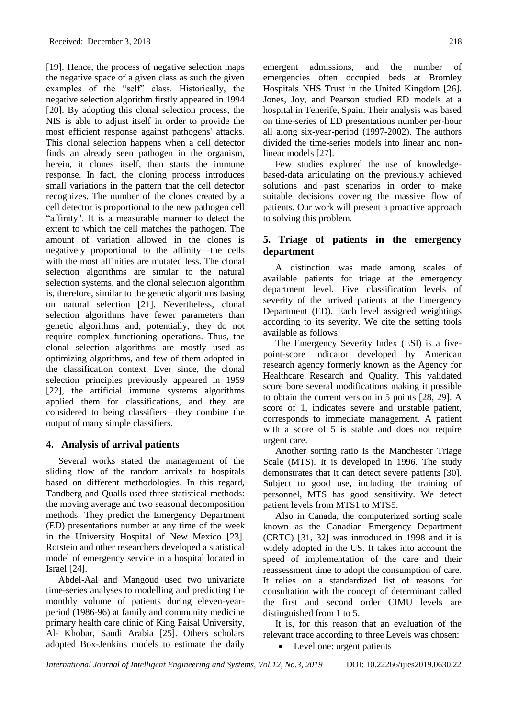[19]. Hence, the process of negative selection maps the negative space of a given class as such the given examples of the "self" class. Historically, the negative selection algorithm firstly appeared in 1994 [20]. By adopting this clonal selection process, the NIS is able to adjust itself in order to provide the most efficient response against pathogens' attacks. This clonal selection happens when a cell detector finds an already seen pathogen in the organism, herein, it clones itself, then starts the immune response. In fact, the cloning process introduces small variations in the pattern that the cell detector recognizes. The number of the clones created by a cell detector is proportional to the new pathogen cell "affinity". It is a measurable manner to detect the extent to which the cell matches the pathogen. The amount of variation allowed in the clones is negatively proportional to the affinity—the cells with the most affinities are mutated less. The clonal selection algorithms are similar to the natural selection systems, and the clonal selection algorithm is, therefore, similar to the genetic algorithms basing on natural selection [21]. Nevertheless, clonal selection algorithms have fewer parameters than genetic algorithms and, potentially, they do not require complex functioning operations. Thus, the clonal selection algorithms are mostly used as optimizing algorithms, and few of them adopted in the classification context. Ever since, the clonal selection principles previously appeared in 1959 [22], the artificial immune systems algorithms applied them for classifications, and they are considered to being classifiers—they combine the output of many simple classifiers.

# **4. Analysis of arrival patients**

Several works stated the management of the sliding flow of the random arrivals to hospitals based on different methodologies. In this regard, Tandberg and Qualls used three statistical methods: the moving average and two seasonal decomposition methods. They predict the Emergency Department (ED) presentations number at any time of the week in the University Hospital of New Mexico [23]. Rotstein and other researchers developed a statistical model of emergency service in a hospital located in Israel [24].

Abdel-Aal and Mangoud used two univariate time-series analyses to modelling and predicting the monthly volume of patients during eleven-yearperiod (1986-96) at family and community medicine primary health care clinic of King Faisal University, Al- Khobar, Saudi Arabia [25]. Others scholars adopted Box-Jenkins models to estimate the daily emergent admissions, and the number of emergencies often occupied beds at Bromley Hospitals NHS Trust in the United Kingdom [26]. Jones, Joy, and Pearson studied ED models at a hospital in Tenerife, Spain. Their analysis was based on time-series of ED presentations number per-hour all along six-year-period (1997-2002). The authors divided the time-series models into linear and nonlinear models [27].

Few studies explored the use of knowledgebased-data articulating on the previously achieved solutions and past scenarios in order to make suitable decisions covering the massive flow of patients. Our work will present a proactive approach to solving this problem.

# **5. Triage of patients in the emergency department**

A distinction was made among scales of available patients for triage at the emergency department level. Five classification levels of severity of the arrived patients at the Emergency Department (ED). Each level assigned weightings according to its severity. We cite the setting tools available as follows:

The Emergency Severity Index (ESI) is a fivepoint-score indicator developed by American research agency formerly known as the Agency for Healthcare Research and Quality. This validated score bore several modifications making it possible to obtain the current version in 5 points [28, 29]. A score of 1, indicates severe and unstable patient, corresponds to immediate management. A patient with a score of 5 is stable and does not require urgent care.

Another sorting ratio is the Manchester Triage Scale (MTS). It is developed in 1996. The study demonstrates that it can detect severe patients [30]. Subject to good use, including the training of personnel, MTS has good sensitivity. We detect patient levels from MTS1 to MTS5.

Also in Canada, the computerized sorting scale known as the Canadian Emergency Department (CRTC) [31, 32] was introduced in 1998 and it is widely adopted in the US. It takes into account the speed of implementation of the care and their reassessment time to adopt the consumption of care. It relies on a standardized list of reasons for consultation with the concept of determinant called the first and second order CIMU levels are distinguished from 1 to 5.

It is, for this reason that an evaluation of the relevant trace according to three Levels was chosen:

• Level one: urgent patients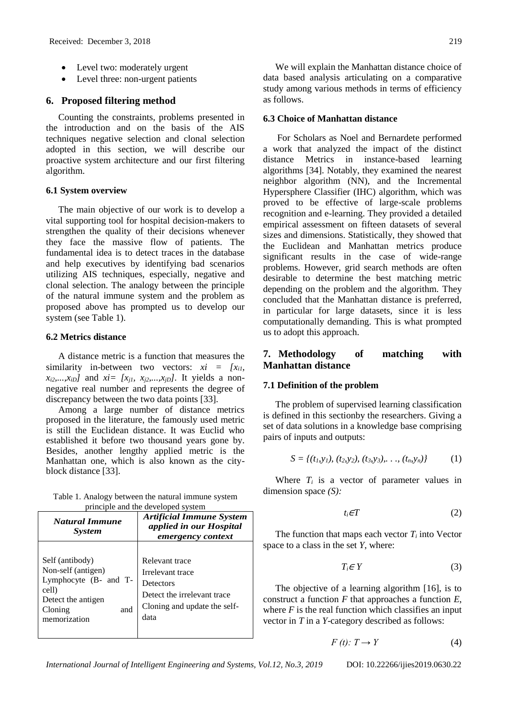- Level two: moderately urgent
- Level three: non-urgent patients

#### **6. Proposed filtering method**

Counting the constraints, problems presented in the introduction and on the basis of the AIS techniques negative selection and clonal selection adopted in this section, we will describe our proactive system architecture and our first filtering algorithm.

#### **6.1 System overview**

The main objective of our work is to develop a vital supporting tool for hospital decision-makers to strengthen the quality of their decisions whenever they face the massive flow of patients. The fundamental idea is to detect traces in the database and help executives by identifying bad scenarios utilizing AIS techniques, especially, negative and clonal selection. The analogy between the principle of the natural immune system and the problem as proposed above has prompted us to develop our system (see Table 1).

#### **6.2 Metrics distance**

A distance metric is a function that measures the similarity in-between two vectors:  $xi = [x_i]$ ,  $x_{i2},...,x_{iD}$  and  $xi = [x_{i1}, x_{i2},...,x_{iD}]$ . It yields a nonnegative real number and represents the degree of discrepancy between the two data points [33].

Among a large number of distance metrics proposed in the literature, the famously used metric is still the Euclidean distance. It was Euclid who established it before two thousand years gone by. Besides, another lengthy applied metric is the Manhattan one, which is also known as the cityblock distance [33].

| Table 1. Analogy between the natural immune system |                                    |  |  |
|----------------------------------------------------|------------------------------------|--|--|
|                                                    | principle and the developed system |  |  |

| <b>Natural Immune</b><br><b>System</b>                                                                                          | <b>Artificial Immune System</b><br>applied in our Hospital<br>emergency context                                        |
|---------------------------------------------------------------------------------------------------------------------------------|------------------------------------------------------------------------------------------------------------------------|
| Self (antibody)<br>Non-self (antigen)<br>Lymphocyte (B- and T-<br>cell)<br>Detect the antigen<br>Cloning<br>and<br>memorization | Relevant trace<br>Irrelevant trace<br>Detectors<br>Detect the irrelevant trace<br>Cloning and update the self-<br>data |

We will explain the Manhattan distance choice of data based analysis articulating on a comparative study among various methods in terms of efficiency as follows.

#### **6.3 Choice of Manhattan distance**

For Scholars as Noel and Bernardete performed a work that analyzed the impact of the distinct distance Metrics in instance-based learning algorithms [34]. Notably, they examined the nearest neighbor algorithm (NN), and the Incremental Hypersphere Classifier (IHC) algorithm, which was proved to be effective of large-scale problems recognition and e-learning. They provided a detailed empirical assessment on fifteen datasets of several sizes and dimensions. Statistically, they showed that the Euclidean and Manhattan metrics produce significant results in the case of wide-range problems. However, grid search methods are often desirable to determine the best matching metric depending on the problem and the algorithm. They concluded that the Manhattan distance is preferred, in particular for large datasets, since it is less computationally demanding. This is what prompted us to adopt this approach.

# **7. Methodology of matching with Manhattan distance**

# **7.1 Definition of the problem**

The problem of supervised learning classification is defined in this sectionby the researchers. Giving a set of data solutions in a knowledge base comprising pairs of inputs and outputs:

$$
S = \{(t_1, y_1), (t_2, y_2), (t_3, y_3), \ldots, (t_n, y_n)\}\tag{1}
$$

Where  $T_i$  is a vector of parameter values in dimension space *(S):*

$$
t_i \in T \tag{2}
$$

The function that maps each vector  $T_i$  into Vector space to a class in the set *Y*, where:

$$
T_i \in Y \tag{3}
$$

The objective of a learning algorithm [16], is to construct a function *F* that approaches a function *E*, where  $F$  is the real function which classifies an input vector in *T* in a *Y*-category described as follows:

$$
F(t): T \to Y \tag{4}
$$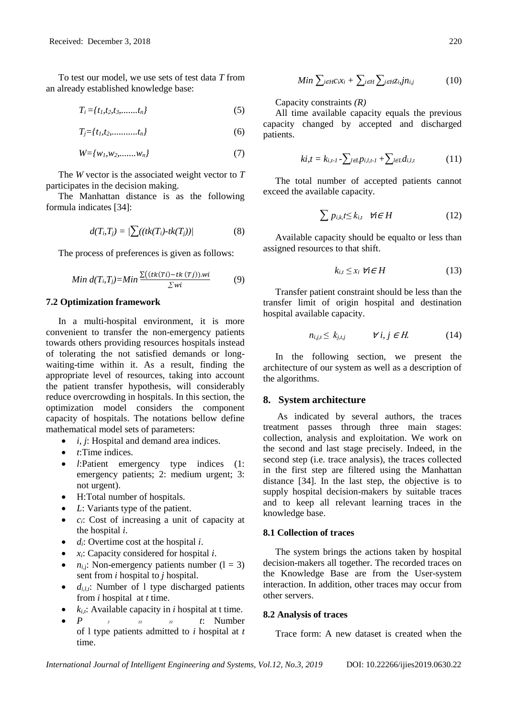To test our model, we use sets of test data *T* from an already established knowledge base:

$$
T_i = \{t_1, t_2, t_3, \dots, t_n\} \tag{5}
$$

$$
T_j = \{t_1, t_2, \dots, t_n\} \tag{6}
$$

$$
W = \{w_1, w_2, \dots, w_n\} \tag{7}
$$

The *W* vector is the associated weight vector to *T*  participates in the decision making.

The Manhattan distance is as the following formula indicates [34]:

$$
d(T_i,T_j) = \frac{\sum ((tk(T_i)-tk(T_j))}{\sum (tk(T_i)-tk(T_j))}
$$
\n(8)

The process of preferences is given as follows:

Min 
$$
d(T_i, T_j) = Min \frac{\sum ((tk(Ti) - tk(Tj)) . wi}{\sum wi}
$$
 (9)

#### **7.2 Optimization framework**

In a multi-hospital environment, it is more convenient to transfer the non-emergency patients towards others providing resources hospitals instead of tolerating the not satisfied demands or longwaiting-time within it. As a result, finding the appropriate level of resources, taking into account the patient transfer hypothesis, will considerably reduce overcrowding in hospitals. In this section, the optimization model considers the component capacity of hospitals. The notations bellow define mathematical model sets of parameters:

- *i, j*: Hospital and demand area indices.
- *t*:Time indices.
- *l*:Patient emergency type indices (1: emergency patients; 2: medium urgent; 3: not urgent).
- H:Total number of hospitals.
- *L*: Variants type of the patient.
- *ci*: Cost of increasing a unit of capacity at the hospital *i*.
- *di*: Overtime cost at the hospital *i*.
- *xi*: Capacity considered for hospital *i*.
- $n_i$ ; Non-emergency patients number  $(1 = 3)$ sent from *i* hospital to *j* hospital.
- $\bullet$  *d*<sub>*i*,*l*,*i*</sub>: Number of 1 type discharged patients from *i* hospital at *t* time.
- *ki,t*: Available capacity in *i* hospital at t time.
- $P$   $\qquad \qquad z$   $\qquad \qquad z$   $\qquad \qquad z$   $\qquad t$ : Number of l type patients admitted to *i* hospital at *t* time.

$$
Min \sum_{i \in H} c_i x_i + \sum_{i \in H} \sum_{j \in H} z_{i,j} j n_{i,j} \tag{10}
$$

Capacity constraints *(R)*

All time available capacity equals the previous capacity changed by accepted and discharged patients.

$$
ki, t = k_{i,t-1} - \sum_{l \in L} p_{i,l,t-1} + \sum_{l \in L} d_{i,l,t}
$$
 (11)

The total number of accepted patients cannot exceed the available capacity.

$$
\sum p_{i,k} t \le k_{i,t} \quad \forall i \in H \tag{12}
$$

Available capacity should be equalto or less than assigned resources to that shift.

$$
k_{i,t} \leq x_i \ \forall i \in H \tag{13}
$$

Transfer patient constraint should be less than the transfer limit of origin hospital and destination hospital available capacity.

$$
n_{i,j,t} \le k_{j,t,j} \qquad \forall i, j \in H. \tag{14}
$$

In the following section, we present the architecture of our system as well as a description of the algorithms.

#### **8. System architecture**

As indicated by several authors, the traces treatment passes through three main stages: collection, analysis and exploitation. We work on the second and last stage precisely. Indeed, in the second step (i.e. trace analysis), the traces collected in the first step are filtered using the Manhattan distance [34]. In the last step, the objective is to supply hospital decision-makers by suitable traces and to keep all relevant learning traces in the knowledge base.

#### **8.1 Collection of traces**

The system brings the actions taken by hospital decision-makers all together. The recorded traces on the Knowledge Base are from the User-system interaction. In addition, other traces may occur from other servers.

#### **8.2 Analysis of traces**

Trace form: A new dataset is created when the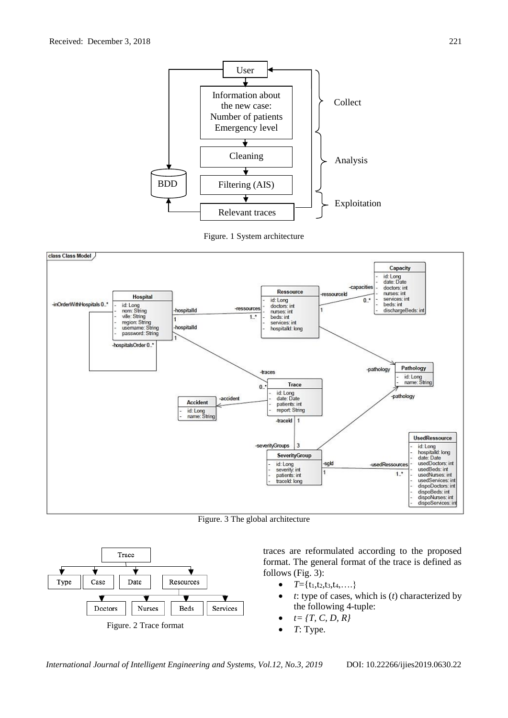





Figure. 3 The global architecture



traces are reformulated according to the proposed format. The general format of the trace is defined as follows (Fig. 3):

- $T = \{t_1, t_2, t_3, t_4, \ldots\}$
- *t*: type of cases, which is (*t*) characterized by the following 4-tuple:
- $t = \{T, C, D, R\}$
- *T*: Type.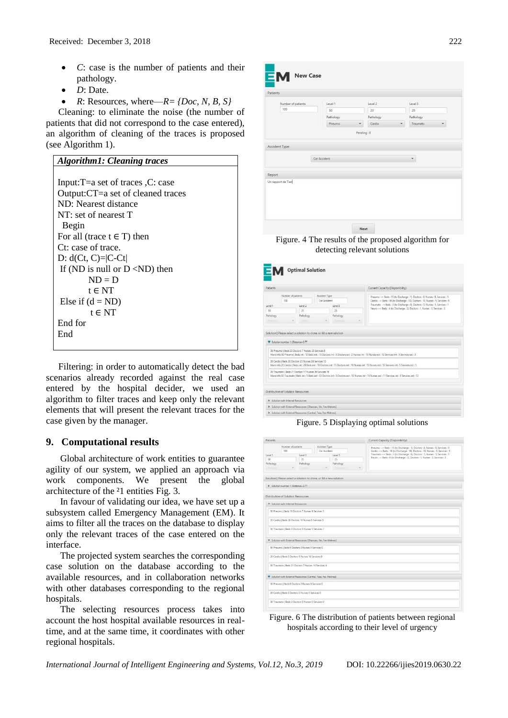- *C*: case is the number of patients and their pathology.
- *D*: Date.
- $R:$  Resources, where— $R = \{Doc, N, B, S\}$

Cleaning: to eliminate the noise (the number of patients that did not correspond to the case entered), an algorithm of cleaning of the traces is proposed (see Algorithm 1).

| <b>Algorithm1: Cleaning traces</b>            |  |  |  |  |
|-----------------------------------------------|--|--|--|--|
|                                               |  |  |  |  |
| Input: $T = a$ set of traces $C$ : case       |  |  |  |  |
| Output: CT=a set of cleaned traces            |  |  |  |  |
| ND: Nearest distance                          |  |  |  |  |
| NT: set of nearest T                          |  |  |  |  |
| Begin                                         |  |  |  |  |
| For all (trace $t \in T$ ) then               |  |  |  |  |
| Ct: case of trace.                            |  |  |  |  |
| D: $d(Ct, C)= C-Ct $                          |  |  |  |  |
| If (ND is null or $D \langle ND \rangle$ then |  |  |  |  |
| $ND = D$                                      |  |  |  |  |
| $t \in NT$                                    |  |  |  |  |
| Else if $(d = ND)$                            |  |  |  |  |
| $t \in NT$                                    |  |  |  |  |
| End for                                       |  |  |  |  |
| End                                           |  |  |  |  |
|                                               |  |  |  |  |

Filtering: in order to automatically detect the bad scenarios already recorded against the real case entered by the hospital decider, we used an algorithm to filter traces and keep only the relevant elements that will present the relevant traces for the case given by the manager.

# **9. Computational results**

Global architecture of work entities to guarantee agility of our system, we applied an approach via work components. We present the global architecture of the  $21$  entities Fig. 3.

In favour of validating our idea, we have set up a subsystem called Emergency Management (EM). It aims to filter all the traces on the database to display only the relevant traces of the case entered on the interface.

The projected system searches the corresponding case solution on the database according to the available resources, and in collaboration networks with other databases corresponding to the regional hospitals.

The selecting resources process takes into account the host hospital available resources in realtime, and at the same time, it coordinates with other regional hospitals.



Figure. 4 The results of the proposed algorithm for detecting relevant solutions

| Number of patients<br>Accident Type<br>Pneumo --> Beds: 15 (to Discharge: 1), Doctors: 8. Nurses: 9, Services: 5<br>100<br>Car Arrident<br>Traumato -- > Beds : 3 (to Discharge : 0), Doctors : 5, Nurses : 5, Services : 1<br>Level 2<br>Level 3<br>Neuro -- > Beds : 4 (to Discharge : 2), Doctors : 1, Nurses : 3, Services : 2<br>25<br>25<br>Pathology<br>Pathology<br><b>Carlos</b><br>50 Pneumo I Beds 20 Doctors 7 Nurses 23 Services 8<br>More info:50 Pneumo   Beds int: 10 Beds ext: 10 Doctors int: 5 Doctors ext: 2 Nurses int: 10 Nurses ext: 13 Services int: 5 Services ext: 3<br>20 Cardio   Beds 30 Doctors 25 Nurses 28 Services 10<br>More info:20 Cardio   Beds int: 20 Beds ext : 10 Doctors int: 15 Doctors ext : 10 Nurses int: 15 Nurses ext : 13 Services int: 5 Services ext : 5<br>30 Traumato   Beds 27 Doctors 17 Nurses 26 Services 15<br>More info:30 Traumato   Beds int : 5 Beds ext : 22 Doctors int : 5 Doctors ext : 12 Nurses int : 15 Nurses ext : 11 Services int : 3 Services ext : 12 | Patients |  |  |  |  | Current Capacity (Disponibility)                                                  |
|---------------------------------------------------------------------------------------------------------------------------------------------------------------------------------------------------------------------------------------------------------------------------------------------------------------------------------------------------------------------------------------------------------------------------------------------------------------------------------------------------------------------------------------------------------------------------------------------------------------------------------------------------------------------------------------------------------------------------------------------------------------------------------------------------------------------------------------------------------------------------------------------------------------------------------------------------------------------------------------------------------------------------------|----------|--|--|--|--|-----------------------------------------------------------------------------------|
| Level 1<br>50<br>Pathology<br><b>Phermo</b><br>Solution   Please select a solution to clone, or fill a new solution<br>Solution number 1: Distance=2.77<br>Distribution of Solution Ressources<br>> Solution with Internal Ressources<br>> Solution with External Ressources (Ghassani, Fés, Fes-Meknes)                                                                                                                                                                                                                                                                                                                                                                                                                                                                                                                                                                                                                                                                                                                        |          |  |  |  |  |                                                                                   |
|                                                                                                                                                                                                                                                                                                                                                                                                                                                                                                                                                                                                                                                                                                                                                                                                                                                                                                                                                                                                                                 |          |  |  |  |  | Cardio -- > Beds : 16 (to Discharge : 10), Doctors : 10, Nurses : 5, Services : 5 |
|                                                                                                                                                                                                                                                                                                                                                                                                                                                                                                                                                                                                                                                                                                                                                                                                                                                                                                                                                                                                                                 |          |  |  |  |  |                                                                                   |
|                                                                                                                                                                                                                                                                                                                                                                                                                                                                                                                                                                                                                                                                                                                                                                                                                                                                                                                                                                                                                                 |          |  |  |  |  |                                                                                   |
|                                                                                                                                                                                                                                                                                                                                                                                                                                                                                                                                                                                                                                                                                                                                                                                                                                                                                                                                                                                                                                 |          |  |  |  |  |                                                                                   |
|                                                                                                                                                                                                                                                                                                                                                                                                                                                                                                                                                                                                                                                                                                                                                                                                                                                                                                                                                                                                                                 |          |  |  |  |  |                                                                                   |
|                                                                                                                                                                                                                                                                                                                                                                                                                                                                                                                                                                                                                                                                                                                                                                                                                                                                                                                                                                                                                                 |          |  |  |  |  |                                                                                   |
|                                                                                                                                                                                                                                                                                                                                                                                                                                                                                                                                                                                                                                                                                                                                                                                                                                                                                                                                                                                                                                 |          |  |  |  |  |                                                                                   |
|                                                                                                                                                                                                                                                                                                                                                                                                                                                                                                                                                                                                                                                                                                                                                                                                                                                                                                                                                                                                                                 |          |  |  |  |  |                                                                                   |
|                                                                                                                                                                                                                                                                                                                                                                                                                                                                                                                                                                                                                                                                                                                                                                                                                                                                                                                                                                                                                                 |          |  |  |  |  |                                                                                   |
|                                                                                                                                                                                                                                                                                                                                                                                                                                                                                                                                                                                                                                                                                                                                                                                                                                                                                                                                                                                                                                 |          |  |  |  |  |                                                                                   |
|                                                                                                                                                                                                                                                                                                                                                                                                                                                                                                                                                                                                                                                                                                                                                                                                                                                                                                                                                                                                                                 |          |  |  |  |  |                                                                                   |
| > Solution with External Ressources (Central, Taza, Fes-Meknes)                                                                                                                                                                                                                                                                                                                                                                                                                                                                                                                                                                                                                                                                                                                                                                                                                                                                                                                                                                 |          |  |  |  |  |                                                                                   |

Figure. 5 Displaying optimal solutions

| Patients  |                                                                      |           |                               |           | Current Capacity (Disponibility)                                                                                                                                     |  |
|-----------|----------------------------------------------------------------------|-----------|-------------------------------|-----------|----------------------------------------------------------------------------------------------------------------------------------------------------------------------|--|
|           | Number of patients<br>100                                            |           | Accident Type<br>Car Accident |           | Pneumo -- > Beds : 15 (to Discharge : 1), Doctors : 8, Nurses : 9, Services : 5<br>Cardio -- > Beds : 16 (to Discharge : 10), Doctors : 10, Nurses : 5, Services : 5 |  |
| Level 1   |                                                                      | Level 2   |                               | Level 3   | Traumato -- > Beds : 3 (to Discharge : 0), Doctors : 5, Nurses : 5, Services : 1                                                                                     |  |
| 50        |                                                                      | 25        |                               | 25        | Neuro -- > Beds : 4 (to Discharge : 2), Doctors : 1, Nurses : 3, Services : 2                                                                                        |  |
| Pathology |                                                                      | Pathology |                               | Pathology |                                                                                                                                                                      |  |
| Priorumo  | Cardio<br>Traumato                                                   |           |                               |           |                                                                                                                                                                      |  |
|           | Solution   Please select a solution to clone, or fill a new solution |           |                               |           |                                                                                                                                                                      |  |
|           | > Solution number 1: Distance=2.77                                   |           |                               |           |                                                                                                                                                                      |  |
|           | <b>Distribution of Solution Ressources</b>                           |           |                               |           |                                                                                                                                                                      |  |
|           | Solution with Internal Ressources                                    |           |                               |           |                                                                                                                                                                      |  |
|           | 50 Pneumo   Beds 16 Doctors 7 Nurses 9 Services 5                    |           |                               |           |                                                                                                                                                                      |  |
|           | 20 Cardio   Beds 26 Doctors 10 Nurses 5 Services 5                   |           |                               |           |                                                                                                                                                                      |  |
|           | 30 Traumato   Beds 3 Doctors 5 Nurses 5 Services 1                   |           |                               |           |                                                                                                                                                                      |  |
|           | Solution with External Ressources (Ghassani, Fès, Fes-Meknes)        |           |                               |           |                                                                                                                                                                      |  |
|           | 50 Pneumo   Beds 0 Doctors 0 Nurses 5 Services 0                     |           |                               |           |                                                                                                                                                                      |  |
|           | 20 Cardio   Beds 0 Doctors 1 Nurses 18 Services 0                    |           |                               |           |                                                                                                                                                                      |  |
|           | 30 Traumato   Beds 21 Doctors 7 Nurses 16 Services 4                 |           |                               |           |                                                                                                                                                                      |  |
|           | Solution with External Ressources [Central, Taza, Fes-Meknes]        |           |                               |           |                                                                                                                                                                      |  |
|           | 50 Pneumo   Beds 0 Doctors 0 Nurses 0 Services 0                     |           |                               |           |                                                                                                                                                                      |  |
|           | 20 Cardio   Beds 0 Doctors 0 Nurses 0 Services 0                     |           |                               |           |                                                                                                                                                                      |  |
|           | 30 Traumato   Beds 0 Doctors 0 Nurses 0 Services 0                   |           |                               |           |                                                                                                                                                                      |  |

Figure. 6 The distribution of patients between regional hospitals according to their level of urgency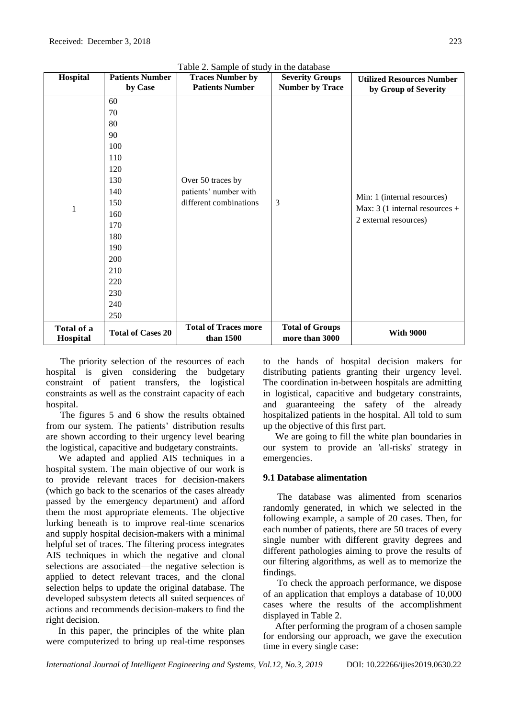| Hospital                 | <b>Patients Number</b><br>by Case | <b>Traces Number by</b><br><b>Patients Number</b>                    | <b>Severity Groups</b><br><b>Number by Trace</b> | <b>Utilized Resources Number</b><br>by Group of Severity                                |
|--------------------------|-----------------------------------|----------------------------------------------------------------------|--------------------------------------------------|-----------------------------------------------------------------------------------------|
|                          | 60                                |                                                                      | 3                                                | Min: 1 (internal resources)<br>Max: $3(1$ internal resources +<br>2 external resources) |
|                          | 70                                |                                                                      |                                                  |                                                                                         |
|                          | 80                                |                                                                      |                                                  |                                                                                         |
|                          | 90                                |                                                                      |                                                  |                                                                                         |
|                          | 100                               |                                                                      |                                                  |                                                                                         |
|                          | 110                               |                                                                      |                                                  |                                                                                         |
|                          | 120                               |                                                                      |                                                  |                                                                                         |
|                          | 130                               | Over 50 traces by<br>patients' number with<br>different combinations |                                                  |                                                                                         |
|                          | 140                               |                                                                      |                                                  |                                                                                         |
|                          | 150                               |                                                                      |                                                  |                                                                                         |
| 1                        | 160                               |                                                                      |                                                  |                                                                                         |
|                          | 170                               |                                                                      |                                                  |                                                                                         |
|                          | 180                               |                                                                      |                                                  |                                                                                         |
|                          | 190                               |                                                                      |                                                  |                                                                                         |
|                          | 200                               |                                                                      |                                                  |                                                                                         |
|                          | 210                               |                                                                      |                                                  |                                                                                         |
| 220<br>230<br>240<br>250 |                                   |                                                                      |                                                  |                                                                                         |
|                          |                                   |                                                                      |                                                  |                                                                                         |
|                          |                                   |                                                                      |                                                  |                                                                                         |
|                          |                                   |                                                                      |                                                  |                                                                                         |
| Total of a<br>Hospital   | <b>Total of Cases 20</b>          | <b>Total of Traces more</b><br>than 1500                             | <b>Total of Groups</b><br>more than 3000         | <b>With 9000</b>                                                                        |

Table 2. Sample of study in the database

The priority selection of the resources of each hospital is given considering the budgetary constraint of patient transfers, the logistical constraints as well as the constraint capacity of each hospital.

The figures 5 and 6 show the results obtained from our system. The patients' distribution results are shown according to their urgency level bearing the logistical, capacitive and budgetary constraints.

We adapted and applied AIS techniques in a hospital system. The main objective of our work is to provide relevant traces for decision-makers (which go back to the scenarios of the cases already passed by the emergency department) and afford them the most appropriate elements. The objective lurking beneath is to improve real-time scenarios and supply hospital decision-makers with a minimal helpful set of traces. The filtering process integrates AIS techniques in which the negative and clonal selections are associated—the negative selection is applied to detect relevant traces, and the clonal selection helps to update the original database. The developed subsystem detects all suited sequences of actions and recommends decision-makers to find the right decision.

In this paper, the principles of the white plan were computerized to bring up real-time responses to the hands of hospital decision makers for distributing patients granting their urgency level. The coordination in-between hospitals are admitting in logistical, capacitive and budgetary constraints, and guaranteeing the safety of the already hospitalized patients in the hospital. All told to sum up the objective of this first part.

We are going to fill the white plan boundaries in our system to provide an 'all-risks' strategy in emergencies.

# **9.1 Database alimentation**

The database was alimented from scenarios randomly generated, in which we selected in the following example, a sample of 20 cases. Then, for each number of patients, there are 50 traces of every single number with different gravity degrees and different pathologies aiming to prove the results of our filtering algorithms, as well as to memorize the findings.

To check the approach performance, we dispose of an application that employs a database of 10,000 cases where the results of the accomplishment displayed in Table 2.

After performing the program of a chosen sample for endorsing our approach, we gave the execution time in every single case: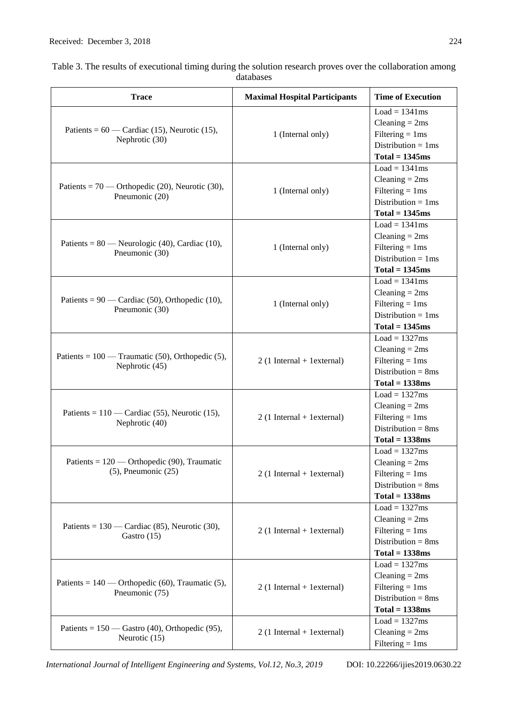| <b>Trace</b>                                       | <b>Maximal Hospital Participants</b> | <b>Time of Execution</b>                   |
|----------------------------------------------------|--------------------------------------|--------------------------------------------|
|                                                    |                                      | $Load = 1341ms$                            |
| Patients = $60$ — Cardiac (15), Neurotic (15),     |                                      | $Cleaning = 2ms$                           |
| Nephrotic (30)                                     | 1 (Internal only)                    | Filtering $= 1$ ms                         |
|                                                    |                                      | Distribution = $1ms$                       |
|                                                    |                                      | $Total = 1345ms$                           |
|                                                    |                                      | $Load = 1341ms$                            |
| Patients = $70$ — Orthopedic (20), Neurotic (30),  |                                      | Cleaning $= 2ms$                           |
| Pneumonic (20)                                     | 1 (Internal only)                    | Filtering $= 1$ ms                         |
|                                                    |                                      | Distribution = $1ms$                       |
|                                                    |                                      | $Total = 1345ms$                           |
|                                                    |                                      | $Load = 1341ms$                            |
| Patients = $80$ — Neurologic (40), Cardiac (10),   |                                      | $Cleaning = 2ms$                           |
| Pneumonic (30)                                     | 1 (Internal only)                    | Filtering $= 1$ ms                         |
|                                                    |                                      | Distribution = $1ms$                       |
|                                                    |                                      | $Total = 1345ms$                           |
|                                                    |                                      | $Load = 1341ms$                            |
| Patients = $90$ — Cardiac (50), Orthopedic (10),   |                                      | Cleaning $= 2ms$                           |
| Pneumonic (30)                                     | 1 (Internal only)                    | Filtering $= 1$ ms<br>Distribution = $1ms$ |
|                                                    |                                      | $Total = 1345ms$                           |
|                                                    |                                      | $Load = 1327ms$                            |
|                                                    |                                      | $Cleaning = 2ms$                           |
| Patients = $100$ — Traumatic (50), Orthopedic (5), | $2(1)$ Internal + 1 external)        | Filtering $= 1$ ms                         |
| Nephrotic (45)                                     |                                      | Distribution = $8ms$                       |
|                                                    |                                      | $Total = 1338ms$                           |
|                                                    |                                      | $Load = 1327ms$                            |
|                                                    | $2(1)$ Internal + 1 external)        | $Cleaning = 2ms$                           |
| Patients = $110$ — Cardiac (55), Neurotic (15),    |                                      | Filtering $= 1$ ms                         |
| Nephrotic (40)                                     |                                      | Distribution = $8ms$                       |
|                                                    |                                      | $Total = 1338ms$                           |
|                                                    |                                      | $Load = 1327ms$                            |
| Patients = $120$ — Orthopedic (90), Traumatic      |                                      | Cleaning $= 2ms$                           |
| $(5)$ , Pneumonic $(25)$                           | $2(1)$ Internal + 1 external)        | Filtering $= 1$ ms                         |
|                                                    |                                      | Distribution = $8ms$                       |
|                                                    |                                      | $Total = 1338ms$                           |
|                                                    |                                      | $Load = 1327ms$                            |
|                                                    |                                      | $Cleaning = 2ms$                           |
| Patients = $130$ — Cardiac (85), Neurotic (30),    | $2(1)$ Internal + 1 external)        | Filtering $= 1$ ms                         |
| Gastro (15)                                        |                                      | Distribution = $8ms$                       |
|                                                    |                                      | $Total = 1338ms$                           |
|                                                    |                                      | $Load = 1327ms$                            |
|                                                    |                                      | $Cleaning = 2ms$                           |
| Patients = $140$ — Orthopedic (60), Traumatic (5), | $2(1)$ Internal + 1 external)        | Filtering $= 1$ ms                         |
| Pneumonic (75)                                     |                                      | Distribution = $8ms$                       |
|                                                    |                                      | $Total = 1338ms$                           |
|                                                    |                                      | $Load = 1327ms$                            |
| Patients = $150$ — Gastro (40), Orthopedic (95),   | $2(1)$ Internal + 1 external)        | $\text{Cleaning} = 2\text{ms}$             |
| Neurotic (15)                                      |                                      |                                            |

#### Table 3. The results of executional timing during the solution research proves over the collaboration among databases

Filtering = 1ms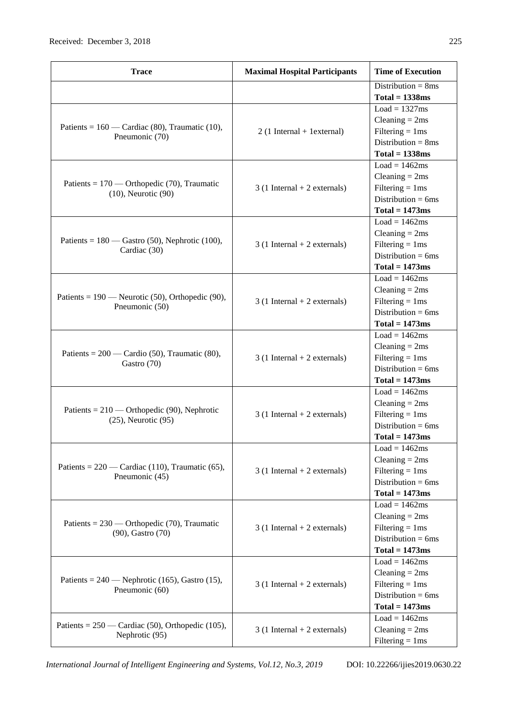| <b>Trace</b>                                                              | <b>Maximal Hospital Participants</b> | <b>Time of Execution</b>        |
|---------------------------------------------------------------------------|--------------------------------------|---------------------------------|
|                                                                           |                                      | Distribution = $8ms$            |
|                                                                           |                                      | $Total = 1338ms$                |
|                                                                           |                                      | $Load = 1327ms$                 |
|                                                                           |                                      | $Cleaning = 2ms$                |
| Patients = $160$ — Cardiac (80), Traumatic (10),<br>Pneumonic (70)        | $2(1)$ Internal + 1 external)        | Filtering $= 1$ ms              |
|                                                                           |                                      | Distribution = $8ms$            |
|                                                                           |                                      | $Total = 1338ms$                |
|                                                                           |                                      | $Load = 1462ms$                 |
|                                                                           |                                      | $Cleaning = 2ms$                |
| Patients = $170$ — Orthopedic (70), Traumatic<br>$(10)$ , Neurotic $(90)$ | $3(1)$ Internal + 2 externals)       | Filtering $= 1$ ms              |
|                                                                           |                                      | Distribution = $6ms$            |
|                                                                           |                                      | $Total = 1473ms$                |
|                                                                           |                                      | $Load = 1462ms$                 |
|                                                                           |                                      | Cleaning $= 2ms$                |
| Patients = $180$ — Gastro (50), Nephrotic (100),                          | $3(1)$ Internal + 2 externals)       | Filtering $= 1$ ms              |
| Cardiac (30)                                                              |                                      | Distribution = $6ms$            |
|                                                                           |                                      | $Total = 1473ms$                |
|                                                                           |                                      | $Load = 1462ms$                 |
|                                                                           |                                      | Cleaning $= 2ms$                |
| Patients = $190$ — Neurotic (50), Orthopedic (90),                        | $3(1)$ Internal + 2 externals)       | Filtering $= 1$ ms              |
| Pneumonic (50)                                                            |                                      | Distribution = $6ms$            |
|                                                                           |                                      | $Total = 1473ms$                |
|                                                                           |                                      | $Load = 1462ms$                 |
|                                                                           |                                      | $\text{Cleaning} = 2 \text{ms}$ |
| Patients = $200$ — Cardio (50), Traumatic (80),                           | $3(1)$ Internal + 2 externals)       | Filtering $= 1$ ms              |
| Gastro (70)                                                               |                                      | Distribution = $6ms$            |
|                                                                           |                                      | $Total = 1473ms$                |
|                                                                           |                                      | $Load = 1462ms$                 |
|                                                                           |                                      | $\text{Cleaning} = 2 \text{ms}$ |
| Patients = $210$ — Orthopedic (90), Nephrotic                             | $3(1)$ Internal + 2 externals)       | Filtering $= 1$ ms              |
| $(25)$ , Neurotic $(95)$                                                  |                                      | Distribution = $6ms$            |
|                                                                           |                                      | $Total = 1473ms$                |
|                                                                           |                                      | $Load = 1462ms$                 |
|                                                                           |                                      | Cleaning $= 2ms$                |
| Patients = $220$ — Cardiac (110), Traumatic (65),                         | $3(1)$ Internal + 2 externals)       | Filtering $= 1$ ms              |
| Pneumonic (45)                                                            |                                      | Distribution = $6ms$            |
|                                                                           |                                      | $Total = 1473ms$                |
|                                                                           |                                      | $Load = 1462ms$                 |
|                                                                           |                                      | $\text{Cleaning} = 2 \text{ms}$ |
| Patients = $230$ — Orthopedic (70), Traumatic                             | $3(1)$ Internal + 2 externals)       | Filtering $= 1$ ms              |
| (90), Gastro (70)                                                         |                                      | Distribution = $6ms$            |
|                                                                           |                                      | $Total = 1473ms$                |
|                                                                           |                                      | Load = $1462ms$                 |
|                                                                           |                                      | $Cleaning = 2ms$                |
| Patients = $240$ — Nephrotic (165), Gastro (15),                          | $3(1)$ Internal + 2 externals)       | Filtering $= 1$ ms              |
| Pneumonic (60)                                                            |                                      | Distribution = $6ms$            |
|                                                                           |                                      | $Total = 1473ms$                |
|                                                                           |                                      | $Load = 1462ms$                 |
| Patients = $250$ — Cardiac (50), Orthopedic (105),                        | $3(1)$ Internal + 2 externals)       | Cleaning $= 2ms$                |
| Nephrotic (95)                                                            |                                      | Filtering $= 1$ ms              |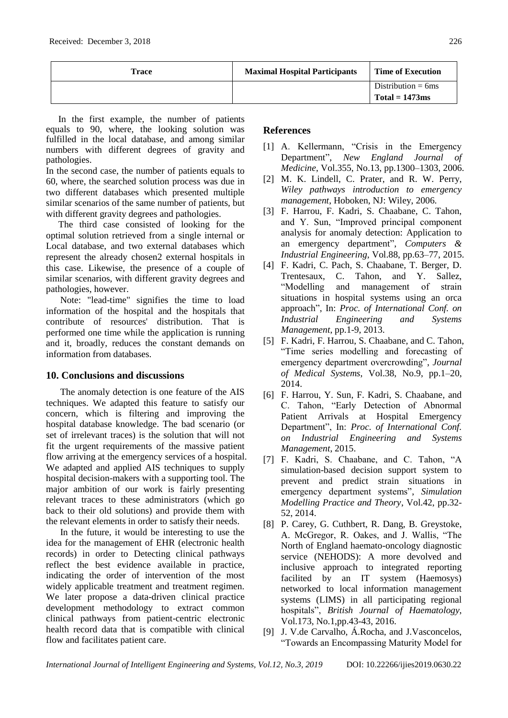| Trace | <b>Maximal Hospital Participants</b> | <b>Time of Execution</b> |
|-------|--------------------------------------|--------------------------|
|       |                                      | Distribution $= 6$ ms    |
|       |                                      | Total $= 1473$ ms        |

In the first example, the number of patients equals to 90, where, the looking solution was fulfilled in the local database, and among similar numbers with different degrees of gravity and pathologies.

In the second case, the number of patients equals to 60, where, the searched solution process was due in two different databases which presented multiple similar scenarios of the same number of patients, but with different gravity degrees and pathologies.

The third case consisted of looking for the optimal solution retrieved from a single internal or Local database, and two external databases which represent the already chosen2 external hospitals in this case. Likewise, the presence of a couple of similar scenarios, with different gravity degrees and pathologies, however.

Note: "lead-time" signifies the time to load information of the hospital and the hospitals that contribute of resources' distribution. That is performed one time while the application is running and it, broadly, reduces the constant demands on information from databases.

# **10. Conclusions and discussions**

The anomaly detection is one feature of the AIS techniques. We adapted this feature to satisfy our concern, which is filtering and improving the hospital database knowledge. The bad scenario (or set of irrelevant traces) is the solution that will not fit the urgent requirements of the massive patient flow arriving at the emergency services of a hospital. We adapted and applied AIS techniques to supply hospital decision-makers with a supporting tool. The major ambition of our work is fairly presenting relevant traces to these administrators (which go back to their old solutions) and provide them with the relevant elements in order to satisfy their needs.

In the future, it would be interesting to use the idea for the management of EHR (electronic health records) in order to Detecting clinical pathways reflect the best evidence available in practice, indicating the order of intervention of the most widely applicable treatment and treatment regimen. We later propose a data-driven clinical practice development methodology to extract common clinical pathways from patient-centric electronic health record data that is compatible with clinical flow and facilitates patient care.

# **References**

- [1] A. Kellermann, "Crisis in the Emergency Department", *New England Journal of Medicine*, Vol.355, No.13, pp.1300–1303, 2006.
- [2] M. K. Lindell, C. Prater, and R. W. Perry, *Wiley pathways introduction to emergency management*, Hoboken, NJ: Wiley, 2006.
- [3] F. Harrou, F. Kadri, S. Chaabane, C. Tahon, and Y. Sun, "Improved principal component analysis for anomaly detection: Application to an emergency department", *Computers & Industrial Engineering*, Vol.88, pp.63–77, 2015.
- [4] F. Kadri, C. Pach, S. Chaabane, T. Berger, D. Trentesaux, C. Tahon, and Y. Sallez, "Modelling and management of strain situations in hospital systems using an orca approach", In: *Proc. of International Conf. on Industrial Engineering and Systems Management*, pp.1-9, 2013.
- [5] F. Kadri, F. Harrou, S. Chaabane, and C. Tahon, "Time series modelling and forecasting of emergency department overcrowding", *Journal of Medical Systems*, Vol.38, No.9, pp.1–20, 2014.
- [6] F. Harrou, Y. Sun, F. Kadri, S. Chaabane, and C. Tahon, "Early Detection of Abnormal Patient Arrivals at Hospital Emergency Department", In: *Proc. of International Conf. on Industrial Engineering and Systems Management*, 2015.
- [7] F. Kadri, S. Chaabane, and C. Tahon, "A simulation-based decision support system to prevent and predict strain situations in emergency department systems", *Simulation Modelling Practice and Theory*, Vol.42, pp.32- 52, 2014.
- [8] P. Carey, G. Cuthbert, R. Dang, B. Greystoke, A. McGregor, R. Oakes, and J. Wallis, "The North of England haemato-oncology diagnostic service (NEHODS): A more devolved and inclusive approach to integrated reporting facilited by an IT system (Haemosys) networked to local information management systems (LIMS) in all participating regional hospitals", *British Journal of Haematology*, Vol.173, No.1,pp.43-43, 2016.
- [9] J. V.de Carvalho, Á.Rocha, and J.Vasconcelos, "Towards an Encompassing Maturity Model for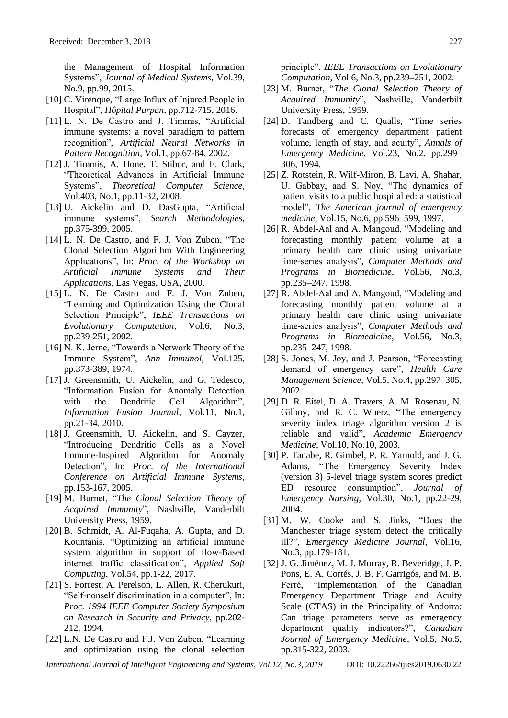the Management of Hospital Information Systems", *Journal of Medical Systems*, Vol.39, No.9, pp.99, 2015.

- [10] C. Virenque, "Large Influx of Injured People in Hospital", *Hôpital Purpan*, pp.712-715, 2016.
- [11] L. N. De Castro and J. Timmis, "Artificial immune systems: a novel paradigm to pattern recognition", *Artificial Neural Networks in Pattern Recognition*, Vol.1, pp.67-84, 2002.
- [12] J. Timmis, A. Hone, T. Stibor, and E. Clark, "Theoretical Advances in Artificial Immune Systems", *Theoretical Computer Science*, Vol.403, No.1, pp.11-32, 2008.
- [13] U. Aickelin and D. DasGupta, "Artificial immune systems", *Search Methodologies*, pp.375-399, 2005.
- [14] L. N. De Castro, and F. J. Von Zuben, "The Clonal Selection Algorithm With Engineering Applications", In: *Proc. of the Workshop on Artificial Immune Systems and Their Applications*, Las Vegas, USA, 2000.
- [15] L. N. De Castro and F. J. Von Zuben, "Learning and Optimization Using the Clonal Selection Principle", *IEEE Transactions on Evolutionary Computation*, Vol.6, No.3, pp.239-251, 2002.
- [16] N. K. Jerne, "Towards a Network Theory of the Immune System", *Ann Immunol*, Vol.125, pp.373-389, 1974.
- [17] J. Greensmith, U. Aickelin, and G. Tedesco, "Information Fusion for Anomaly Detection with the Dendritic Cell Algorithm", *Information Fusion Journal*, Vol.11, No.1, pp.21-34, 2010.
- [18] J. Greensmith, U. Aickelin, and S. Cayzer, "Introducing Dendritic Cells as a Novel Immune-Inspired Algorithm for Anomaly Detection", In: *Proc. of the International Conference on Artificial Immune Systems*, pp.153-167, 2005.
- [19] M. Burnet, "*The Clonal Selection Theory of Acquired Immunity*", Nashville, Vanderbilt University Press, 1959.
- [20] B. Schmidt, A. Al-Fuqaha, A. Gupta, and D. Kountanis, "Optimizing an artificial immune system algorithm in support of flow-Based internet traffic classification", *Applied Soft Computing*, Vol.54, pp.1-22, 2017.
- [21] S. Forrest, A. Perelson, L. Allen, R. Cherukuri, "Self-nonself discrimination in a computer", In: *Proc. 1994 IEEE Computer Society Symposium on Research in Security and Privacy*, pp.202- 212, 1994.
- [22] L.N. De Castro and F.J. Von Zuben, "Learning and optimization using the clonal selection

principle", *IEEE Transactions on Evolutionary Computation*, Vol.6, No.3, pp.239–251, 2002.

- [23] M. Burnet, "*The Clonal Selection Theory of Acquired Immunity*", Nashville, Vanderbilt University Press, 1959.
- [24] D. Tandberg and C. Qualls, "Time series forecasts of emergency department patient volume, length of stay, and acuity", *Annals of Emergency Medicine*, Vol.23, No.2, pp.299– 306, 1994.
- [25] Z. Rotstein, R. Wilf-Miron, B. Lavi, A. Shahar, U. Gabbay, and S. Noy, "The dynamics of patient visits to a public hospital ed: a statistical model", *The American journal of emergency medicine*, Vol.15, No.6, pp.596–599, 1997.
- [26] R. Abdel-Aal and A. Mangoud, "Modeling and forecasting monthly patient volume at a primary health care clinic using univariate time-series analysis", *Computer Methods and Programs in Biomedicine*, Vol.56, No.3, pp.235–247, 1998.
- [27] R. Abdel-Aal and A. Mangoud, "Modeling and forecasting monthly patient volume at a primary health care clinic using univariate time-series analysis", *Computer Methods and Programs in Biomedicine*, Vol.56, No.3, pp.235–247, 1998.
- [28] S. Jones, M. Joy, and J. Pearson, "Forecasting demand of emergency care", *Health Care Management Science*, Vol.5, No.4, pp.297–305, 2002.
- [29] D. R. Eitel, D. A. Travers, A. M. Rosenau, N. Gilboy, and R. C. Wuerz, "The emergency severity index triage algorithm version 2 is reliable and valid", *Academic Emergency Medicine*, Vol.10, No.10, 2003.
- [30] P. Tanabe, R. Gimbel, P. R. Yarnold, and J. G. Adams, "The Emergency Severity Index (version 3) 5-level triage system scores predict ED resource consumption", *Journal of Emergency Nursing*, Vol.30, No.1, pp.22-29, 2004.
- [31] M. W. Cooke and S. Jinks, "Does the Manchester triage system detect the critically ill?", *Emergency Medicine Journal*, Vol.16, No.3, pp.179-181.
- [32] J. G. Jiménez, M. J. Murray, R. Beveridge, J. P. Pons, E. A. Cortés, J. B. F. Garrigós, and M. B. Ferré, "Implementation of the Canadian Emergency Department Triage and Acuity Scale (CTAS) in the Principality of Andorra: Can triage parameters serve as emergency department quality indicators?", *Canadian Journal of Emergency Medicine*, Vol.5, No.5, pp.315-322, 2003.

*International Journal of Intelligent Engineering and Systems, Vol.12, No.3, 2019* DOI: 10.22266/ijies2019.0630.22